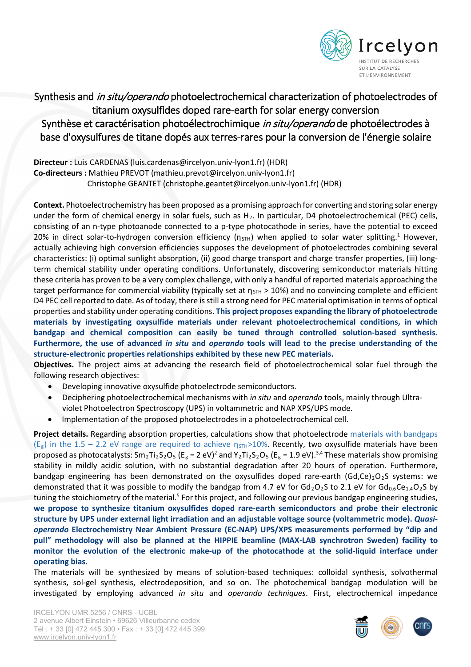

## Synthesis and in situ/operando photoelectrochemical characterization of photoelectrodes of titanium oxysulfides doped rare-earth for solar energy conversion Synthèse et caractérisation photoélectrochimique in situ/operando de photoélectrodes à base d'oxysulfures de titane dopés aux terres-rares pour la conversion de l'énergie solaire

**Directeur :** Luis CARDENAS (luis.cardenas@ircelyon.univ-lyon1.fr) (HDR) **Co-directeurs :** Mathieu PREVOT (mathieu.prevot@ircelyon.univ-lyon1.fr) Christophe GEANTET (christophe.geantet@ircelyon.univ-lyon1.fr) (HDR)

**Context.** Photoelectrochemistry has been proposed as a promising approach for converting and storing solar energy under the form of chemical energy in solar fuels, such as  $H_2$ . In particular, D4 photoelectrochemical (PEC) cells, consisting of an n-type photoanode connected to a p-type photocathode in series, have the potential to exceed 20% in direct solar-to-hydrogen conversion efficiency ( $\eta_{STH}$ ) when applied to solar water splitting.<sup>1</sup> However, actually achieving high conversion efficiencies supposes the development of photoelectrodes combining several characteristics: (i) optimal sunlight absorption, (ii) good charge transport and charge transfer properties, (iii) longterm chemical stability under operating conditions. Unfortunately, discovering semiconductor materials hitting these criteria has proven to be a very complex challenge, with only a handful of reported materials approaching the target performance for commercial viability (typically set at  $\eta_{STH} > 10\%$ ) and no convincing complete and efficient D4 PEC cell reported to date. As of today, there is still a strong need for PEC material optimisation in terms of optical properties and stability under operating conditions. **This project proposes expanding the library of photoelectrode materials by investigating oxysulfide materials under relevant photoelectrochemical conditions, in which bandgap and chemical composition can easily be tuned through controlled solution-based synthesis. Furthermore, the use of advanced** *in situ* **and** *operando* **tools will lead to the precise understanding of the structure-electronic properties relationships exhibited by these new PEC materials.**

**Objectives.** The project aims at advancing the research field of photoelectrochemical solar fuel through the following research objectives:

- Developing innovative oxysulfide photoelectrode semiconductors.
- Deciphering photoelectrochemical mechanisms with *in situ* and *operando* tools, mainly through Ultraviolet Photoelectron Spectroscopy (UPS) in voltammetric and NAP XPS/UPS mode.
- Implementation of the proposed photoelectrodes in a photoelectrochemical cell.

**Project details.** Regarding absorption properties, calculations show that photoelectrode materials with bandgaps (E<sub>g</sub>) in the 1.5 – 2.2 eV range are required to achieve  $\eta_{STH}>10\%$ . Recently, two oxysulfide materials have been proposed as photocatalysts:  $Sm_2Ti_2S_2O_5$  (E<sub>g</sub> = 2 eV)<sup>2</sup> and Y<sub>2</sub>Ti<sub>2</sub>S<sub>2</sub>O<sub>5</sub> (E<sub>g</sub> = 1.9 eV).<sup>3,4</sup> These materials show promising stability in mildly acidic solution, with no substantial degradation after 20 hours of operation. Furthermore, bandgap engineering has been demonstrated on the oxysulfides doped rare-earth (Gd,Ce)<sub>2</sub>O<sub>2</sub>S systems: we demonstrated that it was possible to modify the bandgap from 4.7 eV for Gd<sub>2</sub>O<sub>2</sub>S to 2.1 eV for Gd<sub>0.6</sub>Ce<sub>1.4</sub>O<sub>2</sub>S by tuning the stoichiometry of the material.<sup>5</sup> For this project, and following our previous bandgap engineering studies, **we propose to synthesize titanium oxysulfides doped rare-earth semiconductors and probe their electronic structure by UPS under external light irradiation and an adjustable voltage source (voltammetric mode).** *Quasioperando* **Electrochemistry Near Ambient Pressure (EC-NAP) UPS/XPS measurements performed by "dip and pull" methodology will also be planned at the HIPPIE beamline (MAX-LAB synchrotron Sweden) facility to monitor the evolution of the electronic make-up of the photocathode at the solid-liquid interface under operating bias.**

The materials will be synthesized by means of solution-based techniques: colloidal synthesis, solvothermal synthesis, sol-gel synthesis, electrodeposition, and so on. The photochemical bandgap modulation will be investigated by employing advanced *in situ* and *operando techniques*. First, electrochemical impedance